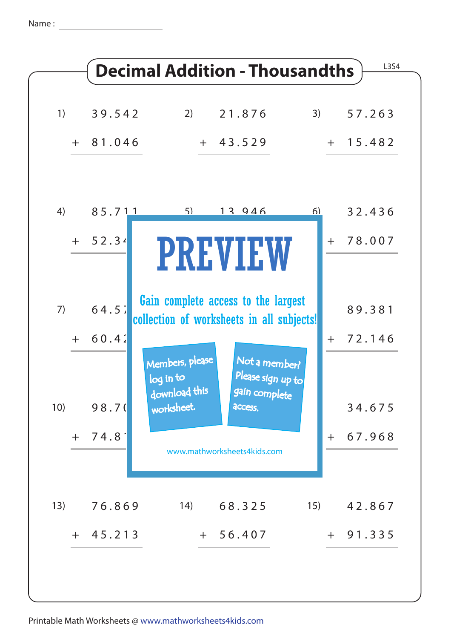Name :